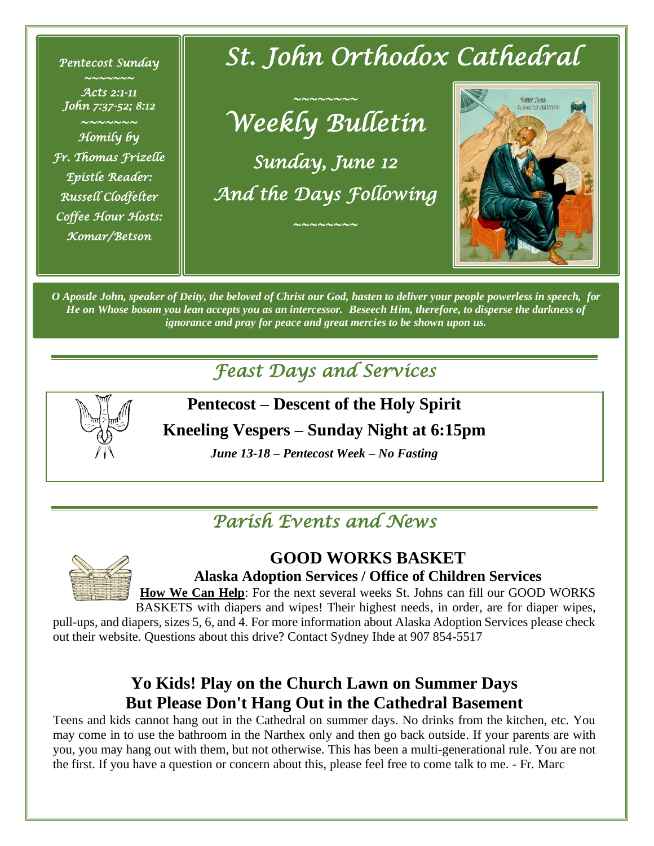*Pentecost Sunday* 

*~~~~~~~ Acts 2:1-11 John 7:37-52; 8:12 ~~~~~~~ Homily by Fr. Thomas Frizelle Epistle Reader: Russell Clodfelter Coffee Hour Hosts: Komar/Betson* 

# *St. John Orthodox Cathedral*

*~~~~~~~~ Weekly Bulletin Sunday, June 12 And the Days Following* 

*~~~~~~~~* 



*O Apostle John, speaker of Deity, the beloved of Christ our God, hasten to deliver your people powerless in speech, for He on Whose bosom you lean accepts you as an intercessor. Beseech Him, therefore, to disperse the darkness of ignorance and pray for peace and great mercies to be shown upon us.*

*Feast Days and Services* 



**Pentecost – Descent of the Holy Spirit**

**Kneeling Vespers – Sunday Night at 6:15pm**

*June 13-18 – Pentecost Week – No Fasting*

# *Parish Events and News*



**GOOD WORKS BASKET**

**Alaska Adoption Services / Office of Children Services**

**How We Can Help**: For the next several weeks St. Johns can fill our GOOD WORKS BASKETS with diapers and wipes! Their highest needs, in order, are for diaper wipes, pull-ups, and diapers, sizes 5, 6, and 4. For more information about Alaska Adoption Services please check

out their website. Questions about this drive? Contact Sydney Ihde at 907 854-5517

## **Yo Kids! Play on the Church Lawn on Summer Days But Please Don't Hang Out in the Cathedral Basement**

Teens and kids cannot hang out in the Cathedral on summer days. No drinks from the kitchen, etc. You may come in to use the bathroom in the Narthex only and then go back outside. If your parents are with you, you may hang out with them, but not otherwise. This has been a multi-generational rule. You are not the first. If you have a question or concern about this, please feel free to come talk to me. - Fr. Marc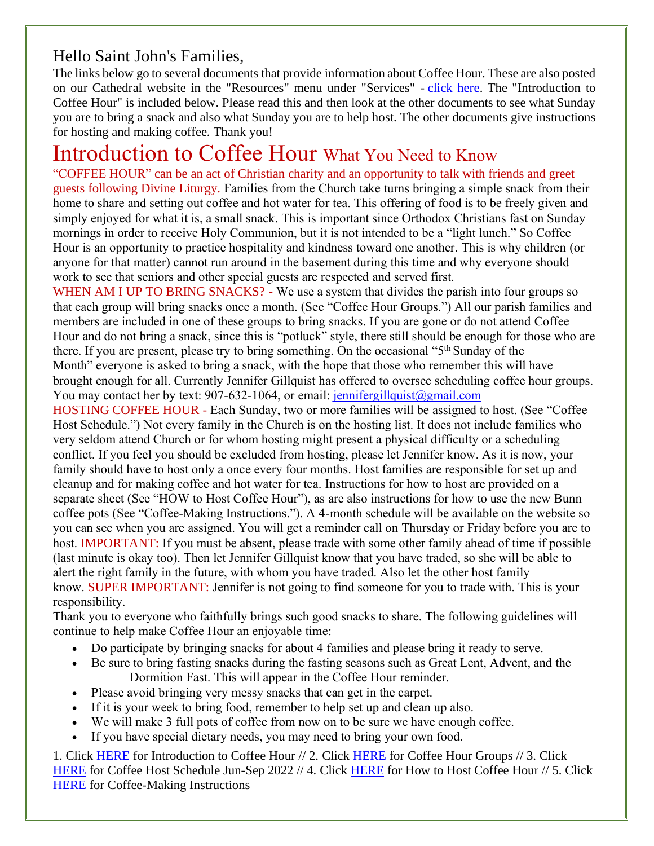#### Hello Saint John's Families,

The links below go to several documents that provide information about Coffee Hour. These are also posted on our Cathedral website in the "Resources" menu under "Services" - [click here.](https://www.stjohnalaska.org/resources/) The "Introduction to Coffee Hour" is included below. Please read this and then look at the other documents to see what Sunday you are to bring a snack and also what Sunday you are to help host. The other documents give instructions for hosting and making coffee. Thank you!

# Introduction to Coffee Hour What You Need to Know

"COFFEE HOUR" can be an act of Christian charity and an opportunity to talk with friends and greet guests following Divine Liturgy. Families from the Church take turns bringing a simple snack from their home to share and setting out coffee and hot water for tea. This offering of food is to be freely given and simply enjoyed for what it is, a small snack. This is important since Orthodox Christians fast on Sunday mornings in order to receive Holy Communion, but it is not intended to be a "light lunch." So Coffee Hour is an opportunity to practice hospitality and kindness toward one another. This is why children (or anyone for that matter) cannot run around in the basement during this time and why everyone should work to see that seniors and other special guests are respected and served first.

WHEN AM I UP TO BRING SNACKS? - We use a system that divides the parish into four groups so that each group will bring snacks once a month. (See "Coffee Hour Groups.") All our parish families and members are included in one of these groups to bring snacks. If you are gone or do not attend Coffee Hour and do not bring a snack, since this is "potluck" style, there still should be enough for those who are there. If you are present, please try to bring something. On the occasional "5th Sunday of the Month" everyone is asked to bring a snack, with the hope that those who remember this will have brought enough for all. Currently Jennifer Gillquist has offered to oversee scheduling coffee hour groups. You may contact her by text: 907-632-1064, or email: [jennifergillquist@gmail.com](mailto:jennifergillquist@gmail.com)

HOSTING COFFEE HOUR - Each Sunday, two or more families will be assigned to host. (See "Coffee Host Schedule.") Not every family in the Church is on the hosting list. It does not include families who very seldom attend Church or for whom hosting might present a physical difficulty or a scheduling conflict. If you feel you should be excluded from hosting, please let Jennifer know. As it is now, your family should have to host only a once every four months. Host families are responsible for set up and cleanup and for making coffee and hot water for tea. Instructions for how to host are provided on a separate sheet (See "HOW to Host Coffee Hour"), as are also instructions for how to use the new Bunn coffee pots (See "Coffee-Making Instructions."). A 4-month schedule will be available on the website so you can see when you are assigned. You will get a reminder call on Thursday or Friday before you are to host. IMPORTANT: If you must be absent, please trade with some other family ahead of time if possible (last minute is okay too). Then let Jennifer Gillquist know that you have traded, so she will be able to alert the right family in the future, with whom you have traded. Also let the other host family know. SUPER IMPORTANT: Jennifer is not going to find someone for you to trade with. This is your responsibility.

Thank you to everyone who faithfully brings such good snacks to share. The following guidelines will continue to help make Coffee Hour an enjoyable time:

- Do participate by bringing snacks for about 4 families and please bring it ready to serve.
- Be sure to bring fasting snacks during the fasting seasons such as Great Lent, Advent, and the Dormition Fast. This will appear in the Coffee Hour reminder.
- Please avoid bringing very messy snacks that can get in the carpet.
- If it is your week to bring food, remember to help set up and clean up also.
- We will make 3 full pots of coffee from now on to be sure we have enough coffee.
- If you have special dietary needs, you may need to bring your own food.

1. Click [HERE](https://www.stjohnalaska.org/static/ed48a1da039130f42e753d3161181315/1%20-%20Introduction%20to%20Coffee%20Hour.pdf) for Introduction to Coffee Hour // 2. Click [HERE](https://www.stjohnalaska.org/static/30f87e0f886bc58c70d1b838a057f1e7/2%20-%20Coffee%20Hour%20Groups%206.2022.pdf) for Coffee Hour Groups // 3. Click [HERE](https://www.stjohnalaska.org/static/688f243d557a549d90f13b6ecc476674/3%20-%20Coffee%20Host%20Schedule%20Jun-Sept%202022.pdf) for Coffee Host Schedule Jun-Sep 2022 // 4. Click [HERE](https://www.stjohnalaska.org/static/c07fd44c3bc3a1e266755064f176a9e5/4%20-%20HOW%20to%20Host%20Coffee%20Hour.pdf) for How to Host Coffee Hour // 5. Click [HERE](https://www.stjohnalaska.org/static/eb24c1b3395ce3ebb693d05fc530be94/5%20-%20Coffee-Making%20Instructions.pdf) for Coffee-Making Instructions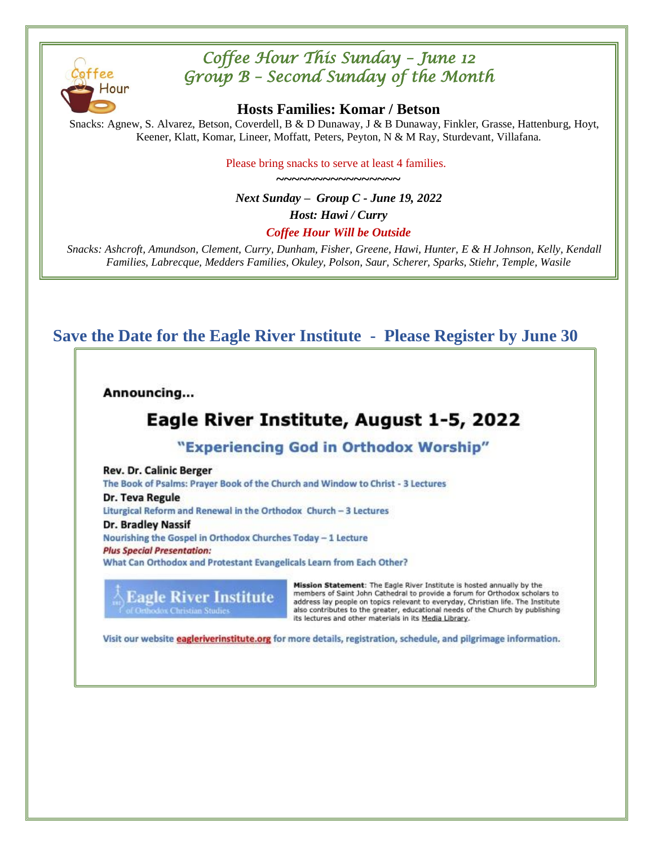

### *Coffee Hour This Sunday – June 12 Group B – Second Sunday of the Month*

**Hosts Families: Komar / Betson**

Snacks: Agnew, S. Alvarez, Betson, Coverdell, B & D Dunaway, J & B Dunaway, Finkler, Grasse, Hattenburg, Hoyt, Keener, Klatt, Komar, Lineer, Moffatt, Peters, Peyton, N & M Ray, Sturdevant, Villafana.

> Please bring snacks to serve at least 4 families. **~~~~~~~~~~~~~~~~**

*Next Sunday – Group C - June 19, 2022 Host: Hawi / Curry Coffee Hour Will be Outside*

*Snacks: Ashcroft, Amundson, Clement, Curry, Dunham, Fisher, Greene, Hawi, Hunter, E & H Johnson, Kelly, Kendall Families, Labrecque, Medders Families, Okuley, Polson, Saur, Scherer, Sparks, Stiehr, Temple, Wasile*

**Save the Date for the Eagle River Institute - Please Register by June 30**

Announcing...

## Eagle River Institute, August 1-5, 2022

"Experiencing God in Orthodox Worship"

**Rev. Dr. Calinic Berger** The Book of Psalms: Prayer Book of the Church and Window to Christ - 3 Lectures Dr. Teva Regule Liturgical Reform and Renewal in the Orthodox Church - 3 Lectures **Dr. Bradley Nassif** 

Nourishing the Gospel in Orthodox Churches Today - 1 Lecture **Plus Special Presentation:** What Can Orthodox and Protestant Evangelicals Learn from Each Other?

**Eagle River Institute** 

Mission Statement: The Eagle River Institute is hosted annually by the members of Saint John Cathedral to provide a forum for Orthodox scholars to address lay people on topics relevant to everyday, Christian life. The Institute also contributes to the greater, educational needs of the Church by publishing its lectures and other materials in its Media Library.

Visit our website eagleriverinstitute.org for more details, registration, schedule, and pilgrimage information.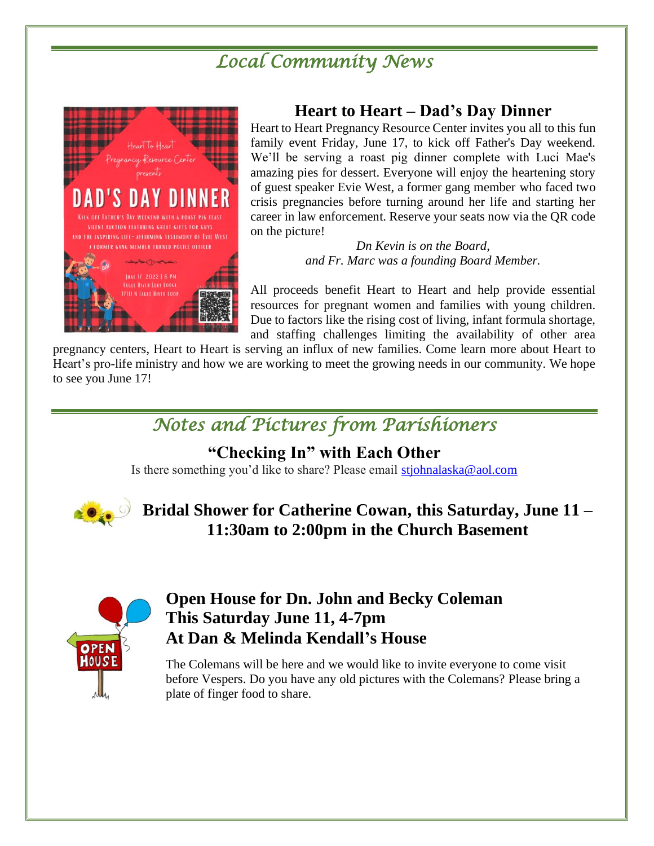# *Local Community News*



#### **Heart to Heart – Dad's Day Dinner**

Heart to Heart Pregnancy Resource Center invites you all to this fun family event Friday, June 17, to kick off Father's Day weekend. We'll be serving a roast pig dinner complete with Luci Mae's amazing pies for dessert. Everyone will enjoy the heartening story of guest speaker Evie West, a former gang member who faced two crisis pregnancies before turning around her life and starting her career in law enforcement. Reserve your seats now via the QR code on the picture!

> *Dn Kevin is on the Board, and Fr. Marc was a founding Board Member.*

All proceeds benefit Heart to Heart and help provide essential resources for pregnant women and families with young children. Due to factors like the rising cost of living, infant formula shortage, and staffing challenges limiting the availability of other area

pregnancy centers, Heart to Heart is serving an influx of new families. Come learn more about Heart to Heart's pro-life ministry and how we are working to meet the growing needs in our community. We hope to see you June 17!

# *Notes and Pictures from Parishioners*

#### **"Checking In" with Each Other**

Is there something you'd like to share? Please email [stjohnalaska@aol.com](mailto:stjohnalaska@aol.com)



### **Bridal Shower for Catherine Cowan, this Saturday, June 11 – 11:30am to 2:00pm in the Church Basement**



#### **Open House for Dn. John and Becky Coleman This Saturday June 11, 4-7pm At Dan & Melinda Kendall's House**

The Colemans will be here and we would like to invite everyone to come visit before Vespers. Do you have any old pictures with the Colemans? Please bring a plate of finger food to share.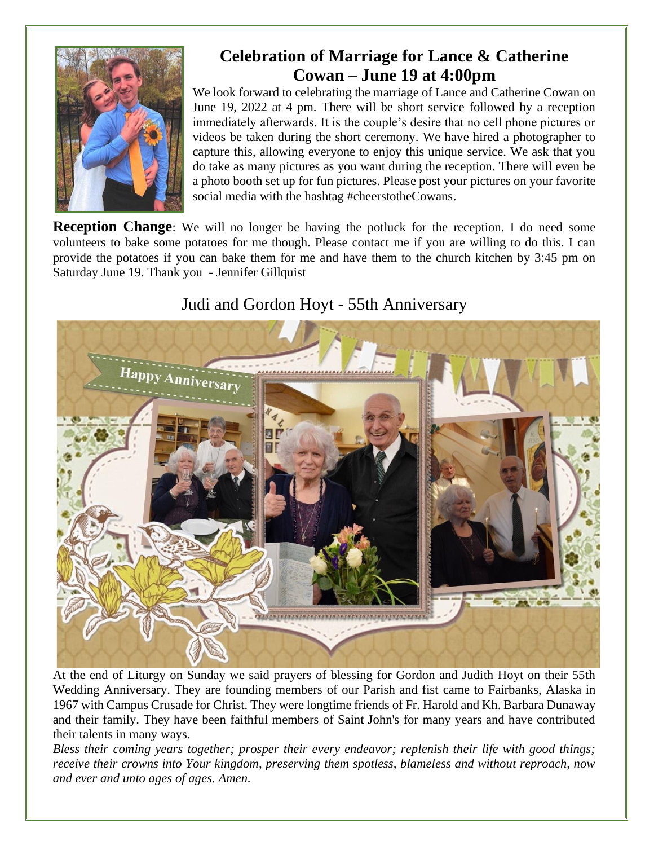

## **Celebration of Marriage for Lance & Catherine Cowan – June 19 at 4:00pm**

We look forward to celebrating the marriage of Lance and Catherine Cowan on June 19, 2022 at 4 pm. There will be short service followed by a reception immediately afterwards. It is the couple's desire that no cell phone pictures or videos be taken during the short ceremony. We have hired a photographer to capture this, allowing everyone to enjoy this unique service. We ask that you do take as many pictures as you want during the reception. There will even be a photo booth set up for fun pictures. Please post your pictures on your favorite social media with the hashtag #cheerstotheCowans.

**Reception Change**: We will no longer be having the potluck for the reception. I do need some volunteers to bake some potatoes for me though. Please contact me if you are willing to do this. I can provide the potatoes if you can bake them for me and have them to the church kitchen by 3:45 pm on Saturday June 19. Thank you - Jennifer Gillquist

# Happy Anniversary ..................................

#### Judi and Gordon Hoyt - 55th Anniversary

At the end of Liturgy on Sunday we said prayers of blessing for Gordon and Judith Hoyt on their 55th Wedding Anniversary. They are founding members of our Parish and fist came to Fairbanks, Alaska in 1967 with Campus Crusade for Christ. They were longtime friends of Fr. Harold and Kh. Barbara Dunaway and their family. They have been faithful members of Saint John's for many years and have contributed their talents in many ways.

*Bless their coming years together; prosper their every endeavor; replenish their life with good things; receive their crowns into Your kingdom, preserving them spotless, blameless and without reproach, now and ever and unto ages of ages. Amen.*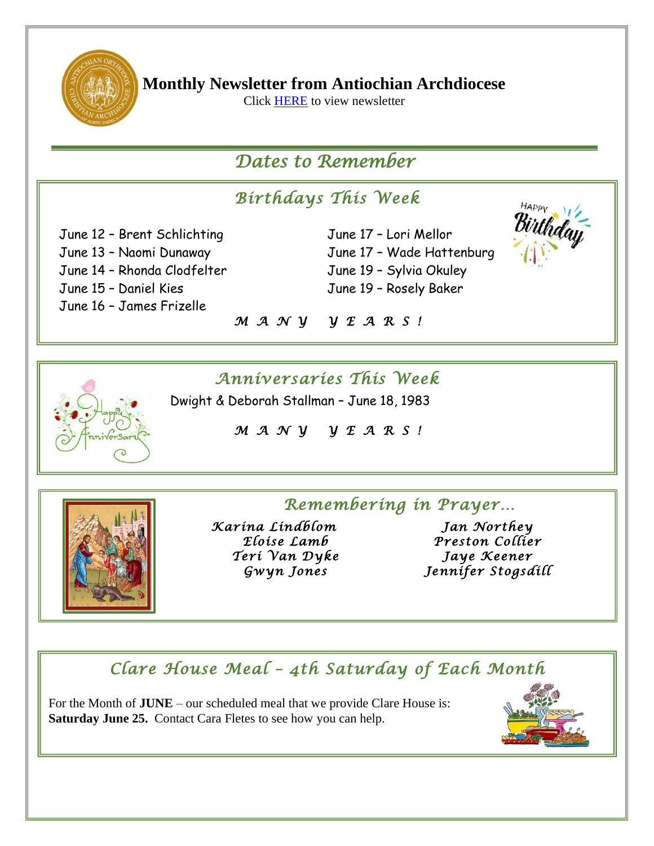

**Monthly Newsletter from Antiochian Archdiocese**

Click [HERE](https://mailchi.mp/ca991a9db346/may-2022-e-news-from-the-antiochian-archdiocese-9082227?e=49b74e36bb) to view newsletter

## *Dates to Remember*

# *Birthdays This Week*

June 12 – Brent Schlichting June 17 – Lori Mellor June 14 - Rhonda Clodfelter June 19 - Sylvia Okuley June 15 – Daniel Kies June 19 – Rosely Baker June 16 – James Frizelle

June 13 – Naomi Dunaway June 17 – Wade Hattenburg



#### *M A N Y Y E A R S !*

### *Anniversaries This Week*

Dwight & Deborah Stallman – June 18, 1983

*M A N Y Y E A R S !* 



*Remembering in Prayer… Karina Lindblom Jan Northey Teri Van Dyke Jaye Keener* 

*Eloise Lamb Preston Collier Gwyn Jones Jennifer Stogsdill* 

#### *Clare House Meal – 4th Saturday of Each Month*

For the Month of **JUNE** – our scheduled meal that we provide Clare House is:  **Saturday June 25.** Contact Cara Fletes to see how you can help.